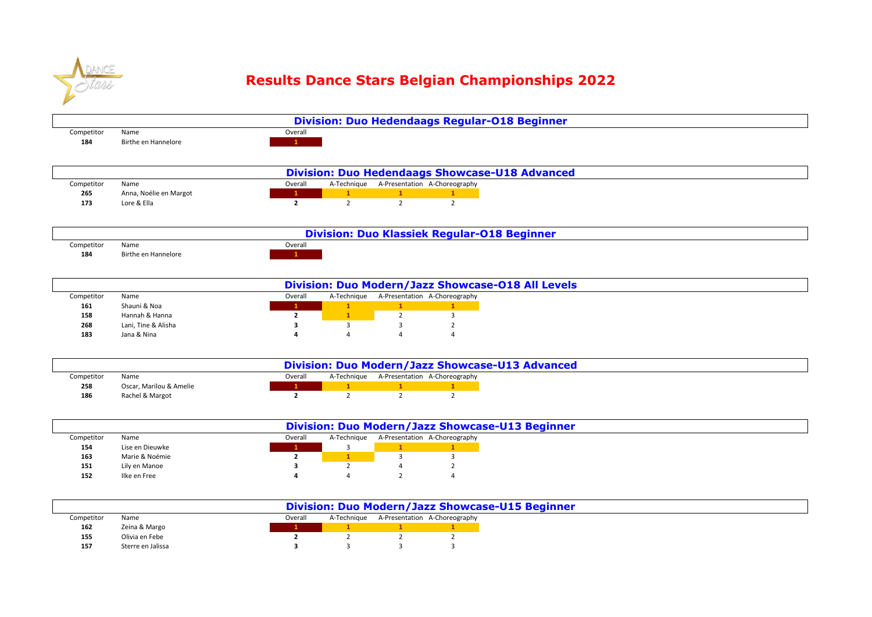

## **Results Dance Stars Belgian Championships 2022**

|            |                     |         | <b>Division: Duo Hedendaags Regular-018 Beginner</b> |
|------------|---------------------|---------|------------------------------------------------------|
| Competitor | Name                | Overalı |                                                      |
| 184        | Birthe en Hannelore |         |                                                      |

|            |                        |         |  | <b>Division: Duo Hedendaags Showcase-U18 Advanced</b> |
|------------|------------------------|---------|--|-------------------------------------------------------|
| Competitor | Name                   | Overall |  | A-Technique A-Presentation A-Choreography             |
| 265        | Anna, Noélie en Margot |         |  |                                                       |
| 173        | Lore & Ella            |         |  |                                                       |

|            |                     |         | <b>Division: Duo Klassiek Regular-018 Beginner</b> |
|------------|---------------------|---------|----------------------------------------------------|
| Competitor | Name                | Overall |                                                    |
| 184        | Birthe en Hannelore |         |                                                    |

|            |                     |         |             |                               | Division: Duo Modern/Jazz Showcase-018 All Levels |  |  |
|------------|---------------------|---------|-------------|-------------------------------|---------------------------------------------------|--|--|
| Competitor | Name                | Overall | A-Technique | A-Presentation A-Choreography |                                                   |  |  |
| 161        | Shauni & Noa        |         |             |                               |                                                   |  |  |
| 158        | Hannah & Hanna      |         |             |                               |                                                   |  |  |
| 268        | Lani, Tine & Alisha |         |             |                               |                                                   |  |  |
| 183        | Jana & Nina         |         |             |                               |                                                   |  |  |

|            |                         |         |  | Division: Duo Modern/Jazz Showcase-U13 Advanced |
|------------|-------------------------|---------|--|-------------------------------------------------|
| Competitor | Name                    | Overalı |  | A-Technique A-Presentation A-Choreography       |
| 258        | Oscar, Marilou & Amelie |         |  |                                                 |
| 186        | Rachel & Margot         |         |  |                                                 |

|            |                 |         |             | Division: Duo Modern/Jazz Showcase-U13 Beginner |
|------------|-----------------|---------|-------------|-------------------------------------------------|
| Competitor | Name            | Overall | A-Technique | A-Presentation A-Choreography                   |
| 154        | Lise en Dieuwke |         |             |                                                 |
| 163        | Marie & Noémie  |         |             |                                                 |
| 151        | Lily en Manoe   |         |             |                                                 |
| 152        | Ilke en Free    |         |             |                                                 |

|            |                   |         |             | Division: Duo Modern/Jazz Showcase-U15 Beginner |
|------------|-------------------|---------|-------------|-------------------------------------------------|
| Competitor | Name              | Overall | A-Technique | A-Presentation A-Choreography                   |
| 162        | Zeina & Margo     |         |             |                                                 |
| 155        | Olivia en Febe    |         |             |                                                 |
| 157        | Sterre en Jalissa |         |             |                                                 |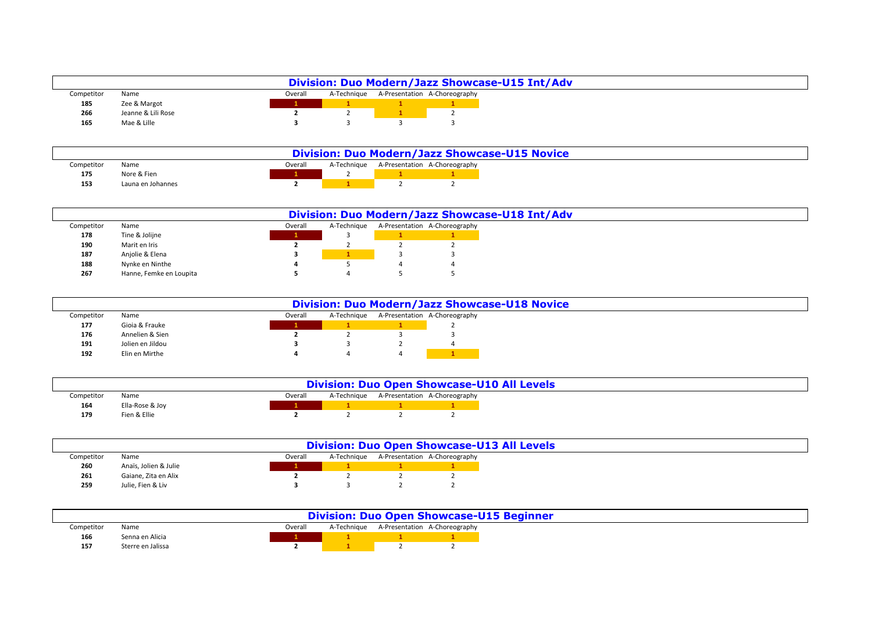|            |                    |         |  | Division: Duo Modern/Jazz Showcase-U15 Int/Adv |
|------------|--------------------|---------|--|------------------------------------------------|
| Competitor | Name               | Overall |  | A-Technique A-Presentation A-Choreography      |
| 185        | Zee & Margot       |         |  |                                                |
| 266        | Jeanne & Lili Rose |         |  |                                                |
| 165        | Mae & Lille        |         |  |                                                |

|            |                   |         |                                           | <b>Division: Duo Modern/Jazz Showcase-U15 Novice</b> |  |  |
|------------|-------------------|---------|-------------------------------------------|------------------------------------------------------|--|--|
| Competitor | Name              | Overall | A-Technique A-Presentation A-Choreography |                                                      |  |  |
| 175        | Nore & Fien       |         |                                           |                                                      |  |  |
| 153        | Launa en Johannes |         |                                           |                                                      |  |  |

|            |                         |         |             | Division: Duo Modern/Jazz Showcase-U18 Int/Adv |
|------------|-------------------------|---------|-------------|------------------------------------------------|
| Competitor | Name                    | Overall | A-Technique | A-Presentation A-Choreography                  |
| 178        | Tine & Jolijne          |         |             |                                                |
| 190        | Marit en Iris           |         |             |                                                |
| 187        | Anjolie & Elena         |         |             |                                                |
| 188        | Nynke en Ninthe         |         |             |                                                |
| 267        | Hanne, Femke en Loupita |         |             |                                                |

|            |                  |         |             |                               | <b>Division: Duo Modern/Jazz Showcase-U18 Novice</b> |  |  |
|------------|------------------|---------|-------------|-------------------------------|------------------------------------------------------|--|--|
| Competitor | Name             | Overall | A-Technique | A-Presentation A-Choreography |                                                      |  |  |
| 177        | Gioia & Frauke   |         |             |                               |                                                      |  |  |
| 176        | Annelien & Sien  |         |             |                               |                                                      |  |  |
| 191        | Jolien en Jildou |         |             |                               |                                                      |  |  |
| 192        | Elin en Mirthe   |         |             |                               |                                                      |  |  |

|            |                 |         |  | <b>Division: Duo Open Showcase-U10 All Levels</b> |
|------------|-----------------|---------|--|---------------------------------------------------|
| Competitor | Name            | Overall |  | A-Technique A-Presentation A-Choreography         |
| 164        | Ella-Rose & Joy |         |  |                                                   |
| 179        | Fien & Ellie    |         |  |                                                   |

|            |                       |         |  | <b>Division: Duo Open Showcase-U13 All Levels</b> |
|------------|-----------------------|---------|--|---------------------------------------------------|
| Competitor | Name                  | Overall |  | A-Technique A-Presentation A-Choreography         |
| 260        | Anaïs, Jolien & Julie |         |  |                                                   |
| 261        | Gaiane, Zita en Alix  |         |  |                                                   |
| 259        | Julie, Fien & Liv     |         |  |                                                   |

|            | <b>Division: Duo Open Showcase-U15 Beginner</b> |         |  |                                           |
|------------|-------------------------------------------------|---------|--|-------------------------------------------|
| Competitor | Name                                            | Overalı |  | A-Technique A-Presentation A-Choreography |
| 166        | Senna en Alicia                                 |         |  |                                           |
| 157        | Sterre en Jalissa                               |         |  |                                           |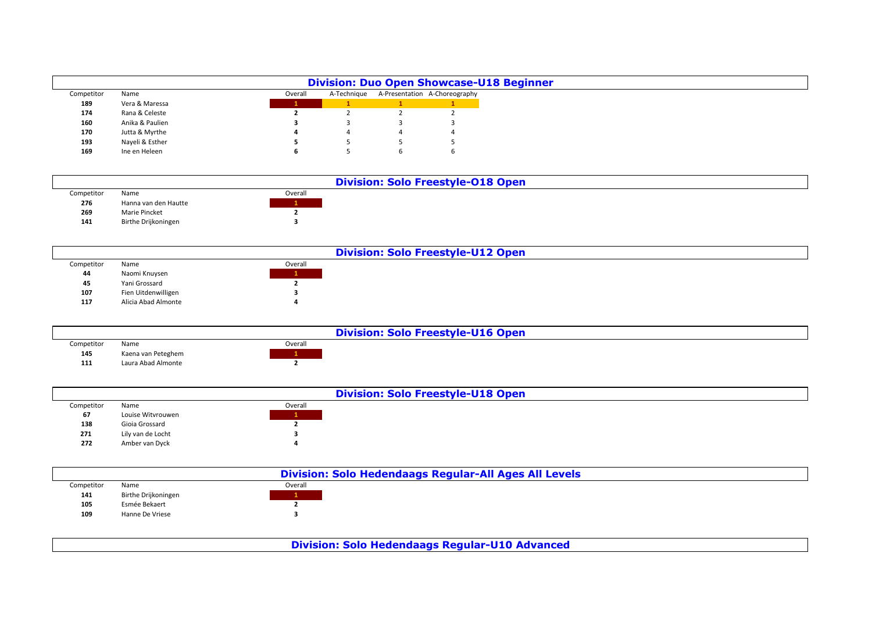|            |                 |         |             | <b>Division: Duo Open Showcase-U18 Beginner</b> |
|------------|-----------------|---------|-------------|-------------------------------------------------|
| Competitor | Name            | Overall | A-Technique | A-Presentation A-Choreography                   |
| 189        | Vera & Maressa  |         |             |                                                 |
| 174        | Rana & Celeste  |         |             |                                                 |
| 160        | Anika & Paulien |         |             |                                                 |
| 170        | Jutta & Myrthe  |         |             |                                                 |
| 193        | Nayeli & Esther |         |             |                                                 |
| 169        | Ine en Heleen   |         |             |                                                 |

|            |                      |         | <b>Division: Solo Freestyle-018 Open</b> |
|------------|----------------------|---------|------------------------------------------|
| Competitor | Name                 | Overall |                                          |
| 276        | Hanna van den Hautte |         |                                          |
| 269        | Marie Pincket        |         |                                          |
| 141        | Birthe Drijkoningen  |         |                                          |

|            |                     |         | <b>Division: Solo Freestyle-U12 Open</b> |
|------------|---------------------|---------|------------------------------------------|
| Competitor | Name                | Overall |                                          |
| 44         | Naomi Knuysen       |         |                                          |
| 45         | Yani Grossard       |         |                                          |
| 107        | Fien Uitdenwilligen |         |                                          |
| 117        | Alicia Abad Almonte |         |                                          |
|            |                     |         |                                          |

|            |                    |         | <b>Division: Solo Freestyle-U16 Open</b> |
|------------|--------------------|---------|------------------------------------------|
| Competitor | Name               | Overall |                                          |
| 145        | Kaena van Peteghem |         |                                          |
| 111        | Laura Abad Almonte |         |                                          |

|            |                   |         | <b>Division: Solo Freestyle-U18 Open</b> |
|------------|-------------------|---------|------------------------------------------|
| Competitor | Name              | Overall |                                          |
| 67         | Louise Witvrouwen |         |                                          |
| 138        | Gioia Grossard    |         |                                          |
| 271        | Lily van de Locht |         |                                          |
| 272        | Amber van Dyck    |         |                                          |
|            |                   |         |                                          |

|            |                     |         | <b>Division: Solo Hedendaags Regular-All Ages All Levels</b> |
|------------|---------------------|---------|--------------------------------------------------------------|
| Competitor | Name                | Overall |                                                              |
| 141        | Birthe Drijkoningen |         |                                                              |
| 105        | Esmée Bekaert       |         |                                                              |
| 109        | Hanne De Vriese     |         |                                                              |
|            |                     |         |                                                              |

**Division: Solo Hedendaags Regular-U10 Advanced**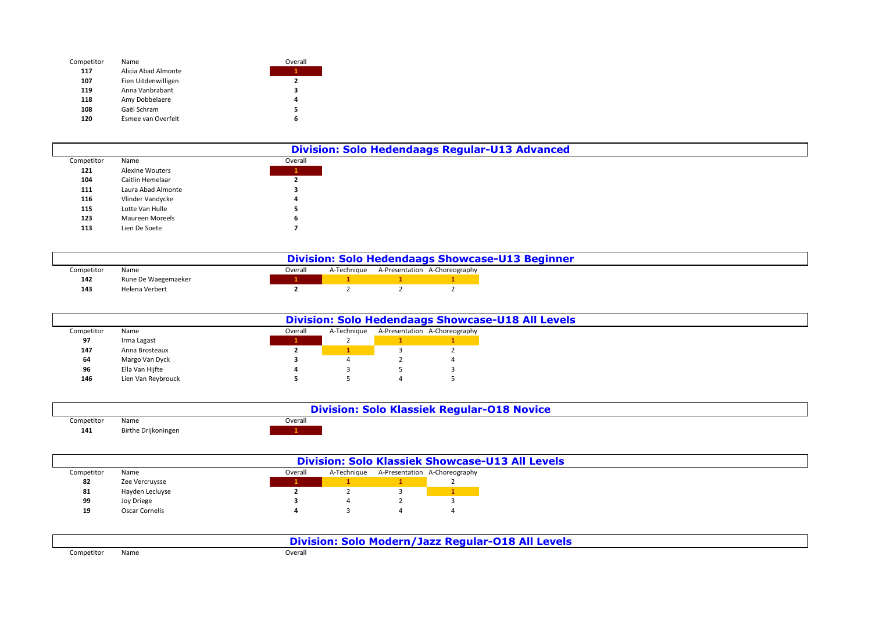| Competitor | Name                | Overall |
|------------|---------------------|---------|
| 117        | Alicia Abad Almonte |         |
| 107        | Fien Uitdenwilligen | 2       |
| 119        | Anna Vanbrabant     | з       |
| 118        | Amy Dobbelaere      | 4       |
| 108        | Gaël Schram         | 5       |
| 120        | Esmee van Overfelt  | 6       |

|            |                        |         | <b>Division: Solo Hedendaags Regular-U13 Advanced</b> |
|------------|------------------------|---------|-------------------------------------------------------|
| Competitor | Name                   | Overall |                                                       |
| 121        | <b>Alexine Wouters</b> |         |                                                       |
| 104        | Caitlin Hemelaar       |         |                                                       |
| 111        | Laura Abad Almonte     |         |                                                       |
| 116        | Vlinder Vandycke       |         |                                                       |
| 115        | Lotte Van Hulle        |         |                                                       |
| 123        | Maureen Moreels        |         |                                                       |
| 113        | Lien De Soete          |         |                                                       |

|            |                     |         | <b>Division: Solo Hedendaags Showcase-U13 Beginner</b> |                                           |
|------------|---------------------|---------|--------------------------------------------------------|-------------------------------------------|
| Competitor | Name                | Overall |                                                        | A-Technique A-Presentation A-Choreography |
| 142        | Rune De Waegemaeker |         |                                                        |                                           |
| 143        | Helena Verbert      |         |                                                        |                                           |

|            |                    |         | <b>Division: Solo Hedendaags Showcase-U18 All Levels</b> |                               |
|------------|--------------------|---------|----------------------------------------------------------|-------------------------------|
| Competitor | Name               | Overall | A-Technique                                              | A-Presentation A-Choreography |
| 97         | Irma Lagast        |         |                                                          |                               |
| 147        | Anna Brosteaux     |         |                                                          |                               |
| 64         | Margo Van Dyck     |         |                                                          |                               |
| 96         | Ella Van Hijfte    |         |                                                          |                               |
| 146        | Lien Van Reybrouck |         |                                                          |                               |

|            |                     |         | <b>Division: Solo Klassiek Regular-018 Novice</b> |
|------------|---------------------|---------|---------------------------------------------------|
| Competitor | Name                | Overall |                                                   |
| 141        | Birthe Drijkoningen |         |                                                   |

|            |                 |         | <b>Division: Solo Klassiek Showcase-U13 All Levels</b> |                               |
|------------|-----------------|---------|--------------------------------------------------------|-------------------------------|
| Competitor | Name            | Overall | A-Technique                                            | A-Presentation A-Choreography |
| 82         | Zee Vercruysse  |         |                                                        |                               |
| 81         | Hayden Lecluyse |         |                                                        |                               |
| 99         | Joy Driege      |         |                                                        |                               |
| 19         | Oscar Cornelis  |         |                                                        |                               |

|            |      | Division: Solo Modern/Jazz Regular-018 All Levels |
|------------|------|---------------------------------------------------|
| Competitor | Name | Overall                                           |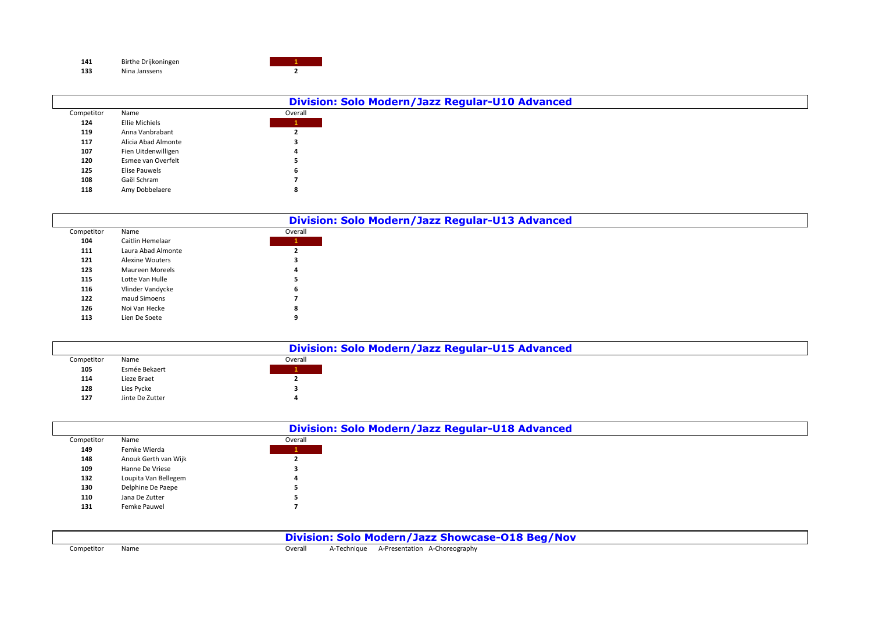| 141 | Birthe Drijkoningen |  |
|-----|---------------------|--|
| 133 | Nina Janssens       |  |

|            |                       |         | Division: Solo Modern/Jazz Regular-U10 Advanced |
|------------|-----------------------|---------|-------------------------------------------------|
| Competitor | Name                  | Overall |                                                 |
| 124        | <b>Ellie Michiels</b> |         |                                                 |
| 119        | Anna Vanbrabant       |         |                                                 |
| 117        | Alicia Abad Almonte   |         |                                                 |
| 107        | Fien Uitdenwilligen   |         |                                                 |
| 120        | Esmee van Overfelt    |         |                                                 |
| 125        | <b>Elise Pauwels</b>  |         |                                                 |
| 108        | Gaël Schram           |         |                                                 |
| 118        | Amy Dobbelaere        |         |                                                 |

|            |                        |                   | Division: Solo Modern/Jazz Regular-U13 Advanced |
|------------|------------------------|-------------------|-------------------------------------------------|
| Competitor | Name                   | Overall           |                                                 |
| 104        | Caitlin Hemelaar       | <b>TELEVISION</b> |                                                 |
| 111        | Laura Abad Almonte     |                   |                                                 |
| 121        | <b>Alexine Wouters</b> |                   |                                                 |
| 123        | <b>Maureen Moreels</b> |                   |                                                 |
| 115        | Lotte Van Hulle        |                   |                                                 |
| 116        | Vlinder Vandycke       |                   |                                                 |
| 122        | maud Simoens           |                   |                                                 |
| 126        | Noi Van Hecke          |                   |                                                 |
| 113        | Lien De Soete          |                   |                                                 |

|            |                 |         | Division: Solo Modern/Jazz Regular-U15 Advanced |
|------------|-----------------|---------|-------------------------------------------------|
| Competitor | Name            | Overall |                                                 |
| 105        | Esmée Bekaert   |         |                                                 |
| 114        | Lieze Braet     |         |                                                 |
| 128        | Lies Pycke      |         |                                                 |
| 127        | Jinte De Zutter |         |                                                 |

|            |                      |         | Division: Solo Modern/Jazz Regular-U18 Advanced |  |
|------------|----------------------|---------|-------------------------------------------------|--|
| Competitor | Name                 | Overall |                                                 |  |
| 149        | Femke Wierda         |         |                                                 |  |
| 148        | Anouk Gerth van Wijk |         |                                                 |  |
| 109        | Hanne De Vriese      |         |                                                 |  |
| 132        | Loupita Van Bellegem |         |                                                 |  |
| 130        | Delphine De Paepe    |         |                                                 |  |
| 110        | Jana De Zutter       |         |                                                 |  |
| 131        | Femke Pauwel         |         |                                                 |  |
|            |                      |         |                                                 |  |

**Division: Solo Modern/Jazz Showcase-O18 Beg/Nov**

Competitor Name **Overall** A-Technique A-Presentation A-Choreography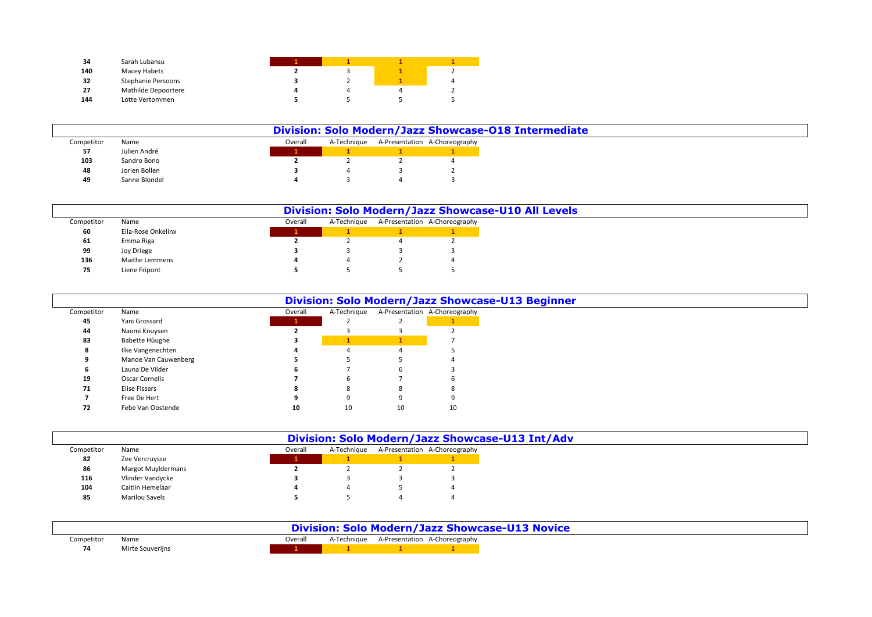| 34  | Sarah Lubansu       |  |   |
|-----|---------------------|--|---|
| 140 | Macey Habets        |  |   |
| 32  | Stephanie Persoons  |  | 4 |
| 27  | Mathilde Depoortere |  |   |
| 144 | Lotte Vertommen     |  |   |

|            |               |         |             | Division: Solo Modern/Jazz Showcase-018 Intermediate |
|------------|---------------|---------|-------------|------------------------------------------------------|
| Competitor | Name          | Overall | A-Technique | A-Presentation A-Choreography                        |
| 57         | Julien André  |         |             |                                                      |
| 103        | Sandro Bono   |         |             |                                                      |
| 48         | Jorien Bollen |         |             |                                                      |
| 49         | Sanne Blondel |         |             |                                                      |

|            |                    |         | Division: Solo Modern/Jazz Showcase-U10 All Levels |                               |
|------------|--------------------|---------|----------------------------------------------------|-------------------------------|
| Competitor | Name               | Overall | A-Technique                                        | A-Presentation A-Choreography |
| 60         | Ella-Rose Onkelinx |         |                                                    |                               |
| 61         | Emma Riga          |         |                                                    |                               |
| 99         | Joy Driege         |         |                                                    |                               |
| 136        | Maithe Lemmens     |         |                                                    |                               |
| 75         | Liene Fripont      |         |                                                    |                               |

|            |                       |         |             |    | Division: Solo Modern/Jazz Showcase-U13 Beginner |
|------------|-----------------------|---------|-------------|----|--------------------------------------------------|
| Competitor | Name                  | Overall | A-Technique |    | A-Presentation A-Choreography                    |
| 45         | Yani Grossard         |         |             |    |                                                  |
| 44         | Naomi Knuysen         |         |             |    |                                                  |
| 83         | Babette Hûughe        |         |             |    |                                                  |
|            | Ilke Vangenechten     |         |             |    |                                                  |
|            | Manoe Van Cauwenberg  |         |             |    |                                                  |
|            | Launa De Vilder       |         |             |    |                                                  |
| 19         | <b>Oscar Cornelis</b> |         |             |    |                                                  |
| 71         | Elise Fissers         |         |             |    |                                                  |
|            | Free De Hert          |         |             |    |                                                  |
| 72         | Febe Van Oostende     | 10      | 10          | 10 | 10                                               |

|            |                       |         |             | Division: Solo Modern/Jazz Showcase-U13 Int/Adv |
|------------|-----------------------|---------|-------------|-------------------------------------------------|
| Competitor | Name                  | Overall | A-Technique | A-Presentation A-Choreography                   |
| 82         | Zee Vercruysse        |         |             |                                                 |
| 86         | Margot Muyldermans    |         |             |                                                 |
| 116        | Vlinder Vandycke      |         |             |                                                 |
| 104        | Caitlin Hemelaar      |         |             |                                                 |
| 85         | <b>Marilou Savels</b> |         |             |                                                 |

|            |                  |         |  |                                           | <b>Division: Solo Modern/Jazz Showcase-U13 Novice</b> |  |  |
|------------|------------------|---------|--|-------------------------------------------|-------------------------------------------------------|--|--|
| Competitor | Name             | Overall |  | A-Technique A-Presentation A-Choreography |                                                       |  |  |
|            | Mirte Souverijns |         |  |                                           |                                                       |  |  |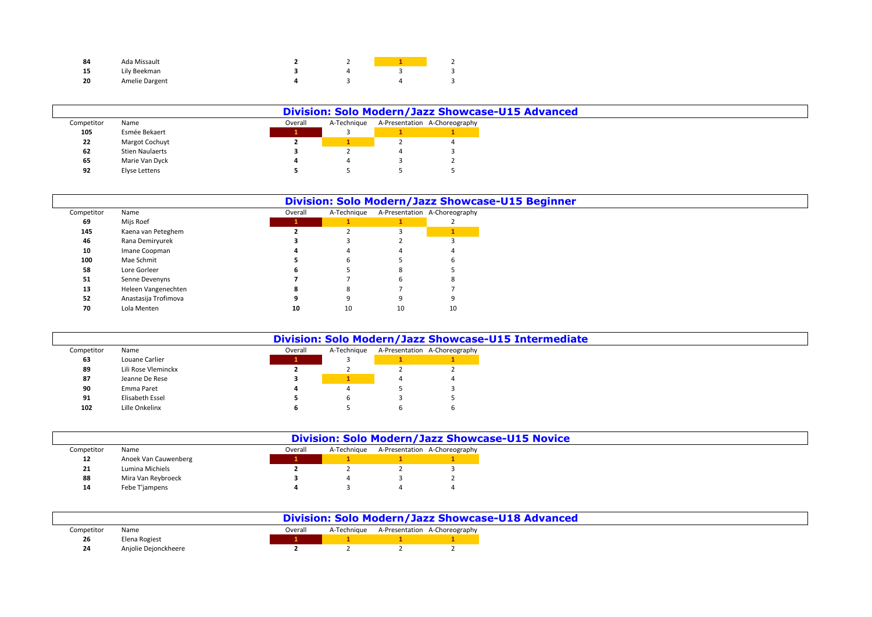|    | Ada Missault   |  | $\overline{\phantom{0}}$ |
|----|----------------|--|--------------------------|
| -- | Lily Beekman   |  |                          |
| 20 | Amelie Dargent |  |                          |

|            |                        |         |             | Division: Solo Modern/Jazz Showcase-U15 Advanced |
|------------|------------------------|---------|-------------|--------------------------------------------------|
| Competitor | Name                   | Overall | A-Technique | A-Presentation A-Choreography                    |
| 105        | Esmée Bekaert          |         |             |                                                  |
| 22         | <b>Margot Cochuyt</b>  |         |             |                                                  |
| 62         | <b>Stien Naulaerts</b> |         |             |                                                  |
| 65         | Marie Van Dyck         |         |             |                                                  |
| 92         | Elyse Lettens          |         |             |                                                  |

|            |                      |         |             |    | <b>Division: Solo Modern/Jazz Showcase-U15 Beginner</b> |
|------------|----------------------|---------|-------------|----|---------------------------------------------------------|
| Competitor | Name                 | Overall | A-Technique |    | A-Presentation A-Choreography                           |
| 69         | Mijs Roef            |         |             |    |                                                         |
| 145        | Kaena van Peteghem   |         |             |    |                                                         |
| 46         | Rana Demiryurek      |         |             |    |                                                         |
| 10         | Imane Coopman        |         |             |    |                                                         |
| 100        | Mae Schmit           |         |             |    | b                                                       |
| 58         | Lore Gorleer         |         |             |    |                                                         |
| 51         | Senne Devenyns       |         |             |    |                                                         |
| 13         | Heleen Vangenechten  |         |             |    |                                                         |
| 52         | Anastasija Trofimova |         |             |    |                                                         |
| 70         | Lola Menten          | 10      | 10          | 10 | 10                                                      |

|            |                     |         |             | Division: Solo Modern/Jazz Showcase-U15 Intermediate |
|------------|---------------------|---------|-------------|------------------------------------------------------|
| Competitor | Name                | Overall | A-Technique | A-Presentation A-Choreography                        |
| 63         | Louane Carlier      |         |             |                                                      |
| 89         | Lili Rose Vleminckx |         |             |                                                      |
| 87         | Jeanne De Rese      |         |             |                                                      |
| 90         | Emma Paret          |         |             |                                                      |
| 91         | Elisabeth Essel     |         |             |                                                      |
| 102        | Lille Onkelinx      |         |             |                                                      |

|            |                      |         |             | <b>Division: Solo Modern/Jazz Showcase-U15 Novice</b> |                               |
|------------|----------------------|---------|-------------|-------------------------------------------------------|-------------------------------|
| Competitor | Name                 | Overall | A-Technique |                                                       | A-Presentation A-Choreography |
| 12         | Anoek Van Cauwenberg |         |             |                                                       |                               |
| 21         | Lumina Michiels      |         |             |                                                       |                               |
| 88         | Mira Van Reybroeck   |         |             |                                                       |                               |
| 14         | Febe T'jampens       |         |             |                                                       |                               |

|            |                      |         |  | Division: Solo Modern/Jazz Showcase-U18 Advanced |
|------------|----------------------|---------|--|--------------------------------------------------|
| Competitor | Name                 | Overall |  | A-Technique A-Presentation A-Choreography        |
| 26         | Elena Rogiest        |         |  |                                                  |
|            | Anjolie Dejonckheere |         |  |                                                  |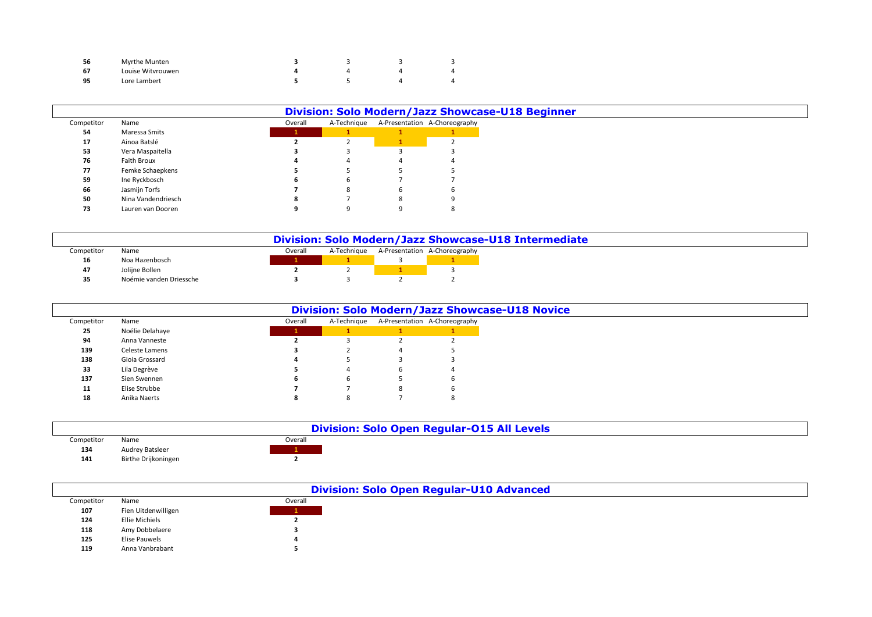|    | Myrthe Munten     |  |  |
|----|-------------------|--|--|
|    | Louise Witvrouwen |  |  |
| 0E | Lore Lambert      |  |  |

|            |                    |         |             | <b>Division: Solo Modern/Jazz Showcase-U18 Beginner</b> |                               |
|------------|--------------------|---------|-------------|---------------------------------------------------------|-------------------------------|
| Competitor | Name               | Overall | A-Technique |                                                         | A-Presentation A-Choreography |
| 54         | Maressa Smits      |         |             |                                                         |                               |
| 17         | Ainoa Batslé       |         |             |                                                         |                               |
| 53         | Vera Maspaitella   |         |             |                                                         |                               |
| 76         | Faith Broux        |         |             |                                                         |                               |
| 77         | Femke Schaepkens   |         |             |                                                         |                               |
| 59         | Ine Ryckbosch      |         |             |                                                         |                               |
| 66         | Jasmijn Torfs      |         | o           | b                                                       |                               |
| 50         | Nina Vandendriesch |         |             | 8                                                       |                               |
| 73         | Lauren van Dooren  |         |             |                                                         |                               |

|            |                         |         |             |                               | Division: Solo Modern/Jazz Showcase-U18 Intermediate |  |  |
|------------|-------------------------|---------|-------------|-------------------------------|------------------------------------------------------|--|--|
| Competitor | Name                    | Overall | A-Technique | A-Presentation A-Choreography |                                                      |  |  |
| 16         | Noa Hazenbosch          |         |             |                               |                                                      |  |  |
| 47         | Jolijne Bollen          |         |             |                               |                                                      |  |  |
|            | Noémie vanden Driessche |         |             |                               |                                                      |  |  |

|            |                 |         |             | <b>Division: Solo Modern/Jazz Showcase-U18 Novice</b> |
|------------|-----------------|---------|-------------|-------------------------------------------------------|
| Competitor | Name            | Overall | A-Technique | A-Presentation A-Choreography                         |
| 25         | Noélie Delahaye |         |             |                                                       |
| 94         | Anna Vanneste   |         |             |                                                       |
| 139        | Celeste Lamens  |         |             |                                                       |
| 138        | Gioia Grossard  |         |             |                                                       |
| 33         | Lila Degrève    |         |             |                                                       |
| 137        | Sien Swennen    |         | h           |                                                       |
| 11         | Elise Strubbe   |         |             |                                                       |
| 18         | Anika Naerts    |         | 8           |                                                       |

|            |                        |         | <b>Division: Solo Open Regular-015 All Levels</b> |
|------------|------------------------|---------|---------------------------------------------------|
| Competitor | Name                   | Overall |                                                   |
| 134        | <b>Audrey Batsleer</b> |         |                                                   |
| 141        | Birthe Drijkoningen    |         |                                                   |

|            |                       |         | <b>Division: Solo Open Regular-U10 Advanced</b> |
|------------|-----------------------|---------|-------------------------------------------------|
| Competitor | Name                  | Overall |                                                 |
| 107        | Fien Uitdenwilligen   |         |                                                 |
| 124        | <b>Ellie Michiels</b> |         |                                                 |
| 118        | Amy Dobbelaere        |         |                                                 |
| 125        | Elise Pauwels         |         |                                                 |
| 119        | Anna Vanbrabant       |         |                                                 |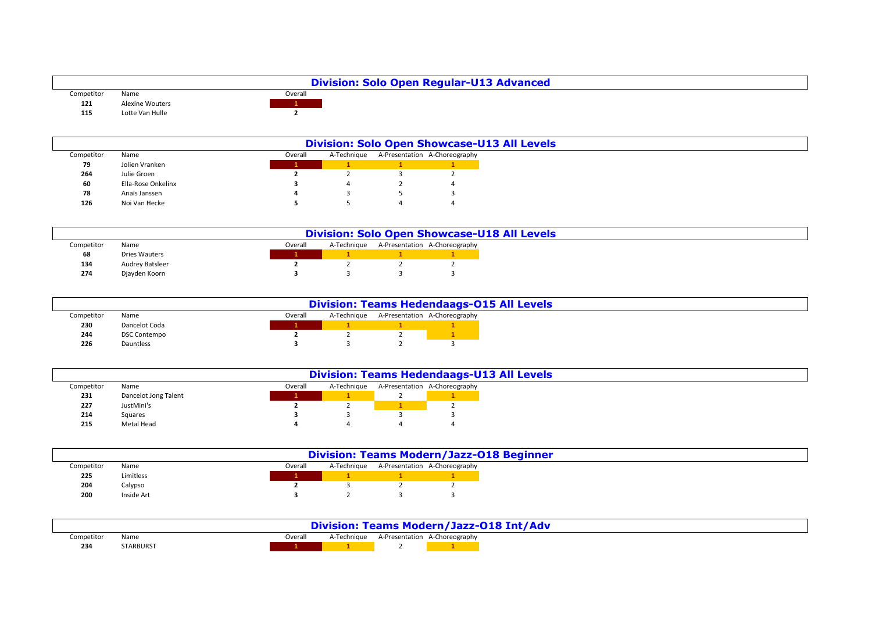|            |                        |         | <b>Division: Solo Open Regular-U13 Advanced</b> |
|------------|------------------------|---------|-------------------------------------------------|
| Competitor | Name                   | Overall |                                                 |
| 121        | <b>Alexine Wouters</b> |         |                                                 |
| 115        | Lotte Van Hulle        |         |                                                 |

|            |                    |         | <b>Division: Solo Open Showcase-U13 All Levels</b> |                               |
|------------|--------------------|---------|----------------------------------------------------|-------------------------------|
| Competitor | Name               | Overall | A-Technique                                        | A-Presentation A-Choreography |
| 79         | Jolien Vranken     |         |                                                    |                               |
| 264        | Julie Groen        |         |                                                    |                               |
| 60         | Ella-Rose Onkelinx |         |                                                    |                               |
| 78         | Anaïs Janssen      |         |                                                    |                               |
| 126        | Noi Van Hecke      |         |                                                    |                               |

|            |                        |         |             | <b>Division: Solo Open Showcase-U18 All Levels</b> |
|------------|------------------------|---------|-------------|----------------------------------------------------|
| Competitor | Name                   | Overall | A-Technique | A-Presentation A-Choreography                      |
| 68         | Dries Wauters          |         |             |                                                    |
| 134        | <b>Audrey Batsleer</b> |         |             |                                                    |
| 274        | Djayden Koorn          |         |             |                                                    |

|            |                     |         |  | <b>Division: Teams Hedendaags-015 All Levels</b> |
|------------|---------------------|---------|--|--------------------------------------------------|
| Competitor | Name                | Overall |  | A-Technique A-Presentation A-Choreography        |
| 230        | Dancelot Coda       |         |  |                                                  |
| 244        | <b>DSC Contempo</b> |         |  |                                                  |
| 226        | Dauntless           |         |  |                                                  |

|            | <b>Division: Teams Hedendaags-U13 All Levels</b> |         |             |  |                               |  |
|------------|--------------------------------------------------|---------|-------------|--|-------------------------------|--|
| Competitor | Name                                             | Overall | A-Technique |  | A-Presentation A-Choreography |  |
| 231        | Dancelot Jong Talent                             |         |             |  |                               |  |
| 227        | JustMini's                                       |         |             |  |                               |  |
| 214        | Squares                                          |         |             |  |                               |  |
| 215        | Metal Head                                       |         |             |  |                               |  |

|            |            |         |  | <b>Division: Teams Modern/Jazz-018 Beginner</b> |
|------------|------------|---------|--|-------------------------------------------------|
| Competitor | Name       | Overall |  | A-Technique A-Presentation A-Choreography       |
| 225        | Limitless  |         |  |                                                 |
| 204        | Calypso    |         |  |                                                 |
| 200        | Inside Art |         |  |                                                 |

|            |           |         |             |                               | <b>Division: Teams Modern/Jazz-018 Int/Adv</b> |
|------------|-----------|---------|-------------|-------------------------------|------------------------------------------------|
| Competitor | Name      | Overall | A-Technique | A-Presentation A-Choreography |                                                |
| 234        | STARBURST |         |             |                               |                                                |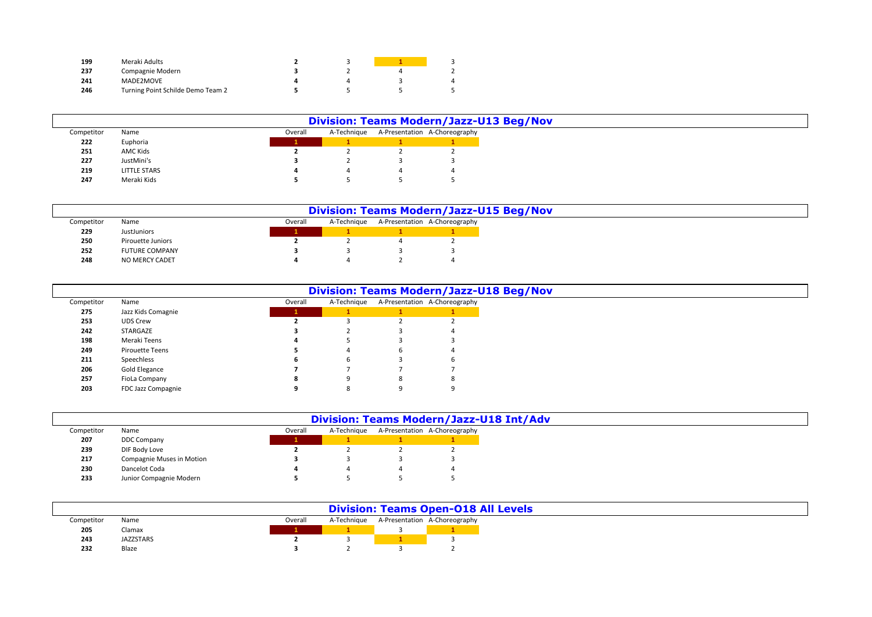| 199 | Meraki Adults                     |  |   |
|-----|-----------------------------------|--|---|
| 237 | Compagnie Modern                  |  |   |
| 241 | MADE2MOVE                         |  | 4 |
| 246 | Turning Point Schilde Demo Team 2 |  |   |

|            |                     |         | <b>Division: Teams Modern/Jazz-U13 Beg/Nov</b> |                               |
|------------|---------------------|---------|------------------------------------------------|-------------------------------|
| Competitor | Name                | Overall | A-Technique                                    | A-Presentation A-Choreography |
| 222        | Euphoria            |         |                                                |                               |
| 251        | AMC Kids            |         |                                                |                               |
| 227        | JustMini's          |         |                                                |                               |
| 219        | <b>LITTLE STARS</b> |         |                                                |                               |
| 247        | Meraki Kids         |         |                                                |                               |

|            | <b>Division: Teams Modern/Jazz-U15 Beg/Nov</b> |         |  |             |  |                               |
|------------|------------------------------------------------|---------|--|-------------|--|-------------------------------|
| Competitor | Name                                           | Overall |  | A-Technique |  | A-Presentation A-Choreography |
| 229        | JustJuniors                                    |         |  |             |  |                               |
| 250        | Pirouette Juniors                              |         |  |             |  |                               |
| 252        | <b>FUTURE COMPANY</b>                          |         |  |             |  |                               |
| 248        | NO MERCY CADET                                 |         |  |             |  |                               |

|            |                    |         |             |   | <b>Division: Teams Modern/Jazz-U18 Beg/Nov</b> |
|------------|--------------------|---------|-------------|---|------------------------------------------------|
| Competitor | Name               | Overall | A-Technique |   | A-Presentation A-Choreography                  |
| 275        | Jazz Kids Comagnie |         |             |   |                                                |
| 253        | <b>UDS Crew</b>    |         |             |   |                                                |
| 242        | STARGAZE           |         |             |   |                                                |
| 198        | Meraki Teens       |         |             |   |                                                |
| 249        | Pirouette Teens    |         |             | b |                                                |
| 211        | Speechless         |         | b           |   |                                                |
| 206        | Gold Elegance      |         |             |   |                                                |
| 257        | FioLa Company      |         |             | 8 | 8                                              |
| 203        | FDC Jazz Compagnie |         |             |   |                                                |

|            |                                  |         |             | Division: Teams Modern/Jazz-U18 Int/Adv |
|------------|----------------------------------|---------|-------------|-----------------------------------------|
| Competitor | Name                             | Overall | A-Technique | A-Presentation A-Choreography           |
| 207        | <b>DDC Company</b>               |         |             |                                         |
| 239        | DIF Body Love                    |         |             |                                         |
| 217        | <b>Compagnie Muses in Motion</b> |         |             |                                         |
| 230        | Dancelot Coda                    |         |             |                                         |
| 233        | Junior Compagnie Modern          |         |             |                                         |

|            |           |         |             | <b>Division: Teams Open-018 All Levels</b> |
|------------|-----------|---------|-------------|--------------------------------------------|
| Competitor | Name      | Overall | A-Technique | A-Presentation A-Choreography              |
| 205        | Clamax    |         |             |                                            |
| 243        | JAZZSTARS |         |             |                                            |
| 232        | Blaze     |         |             |                                            |